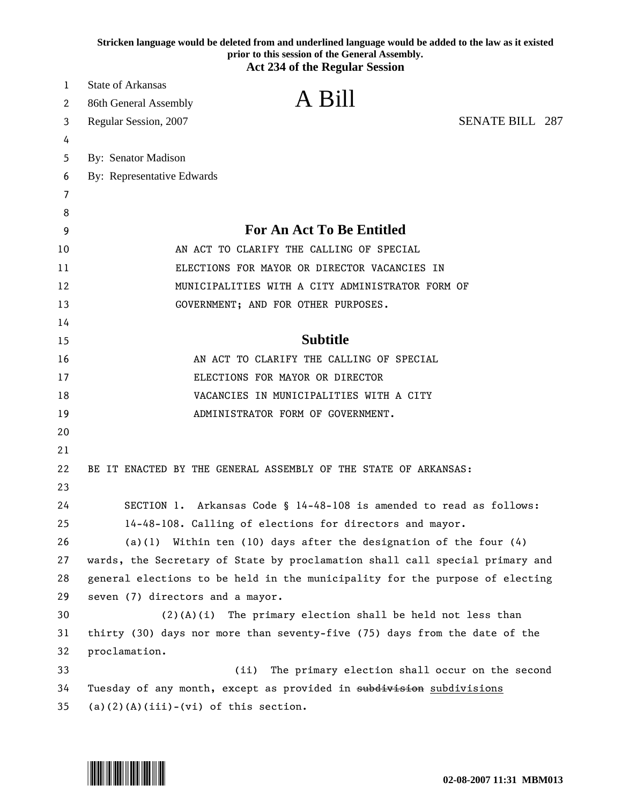|    | Stricken language would be deleted from and underlined language would be added to the law as it existed<br>prior to this session of the General Assembly.<br><b>Act 234 of the Regular Session</b> |
|----|----------------------------------------------------------------------------------------------------------------------------------------------------------------------------------------------------|
|    |                                                                                                                                                                                                    |
| 1  | <b>State of Arkansas</b><br>A Bill                                                                                                                                                                 |
| 2  | 86th General Assembly                                                                                                                                                                              |
| 3  | <b>SENATE BILL 287</b><br>Regular Session, 2007                                                                                                                                                    |
| 4  |                                                                                                                                                                                                    |
| 5  | By: Senator Madison                                                                                                                                                                                |
| 6  | By: Representative Edwards                                                                                                                                                                         |
| 7  |                                                                                                                                                                                                    |
| 8  |                                                                                                                                                                                                    |
| 9  | For An Act To Be Entitled                                                                                                                                                                          |
| 10 | AN ACT TO CLARIFY THE CALLING OF SPECIAL                                                                                                                                                           |
| 11 | ELECTIONS FOR MAYOR OR DIRECTOR VACANCIES IN                                                                                                                                                       |
| 12 | MUNICIPALITIES WITH A CITY ADMINISTRATOR FORM OF                                                                                                                                                   |
| 13 | GOVERNMENT; AND FOR OTHER PURPOSES.                                                                                                                                                                |
| 14 |                                                                                                                                                                                                    |
| 15 | <b>Subtitle</b>                                                                                                                                                                                    |
| 16 | AN ACT TO CLARIFY THE CALLING OF SPECIAL                                                                                                                                                           |
| 17 | ELECTIONS FOR MAYOR OR DIRECTOR                                                                                                                                                                    |
| 18 | VACANCIES IN MUNICIPALITIES WITH A CITY                                                                                                                                                            |
| 19 | ADMINISTRATOR FORM OF GOVERNMENT.                                                                                                                                                                  |
| 20 |                                                                                                                                                                                                    |
| 21 |                                                                                                                                                                                                    |
| 22 | BE IT ENACTED BY THE GENERAL ASSEMBLY OF THE STATE OF ARKANSAS:                                                                                                                                    |
| 23 |                                                                                                                                                                                                    |
| 24 | SECTION 1. Arkansas Code § 14-48-108 is amended to read as follows:                                                                                                                                |
| 25 | 14-48-108. Calling of elections for directors and mayor.                                                                                                                                           |
| 26 | (a)(1) Within ten (10) days after the designation of the four $(4)$                                                                                                                                |
| 27 | wards, the Secretary of State by proclamation shall call special primary and                                                                                                                       |
| 28 | general elections to be held in the municipality for the purpose of electing                                                                                                                       |
| 29 | seven (7) directors and a mayor.                                                                                                                                                                   |
| 30 | $(2)(A)(i)$ The primary election shall be held not less than                                                                                                                                       |
| 31 | thirty (30) days nor more than seventy-five (75) days from the date of the                                                                                                                         |
| 32 | proclamation.                                                                                                                                                                                      |
| 33 | (ii)<br>The primary election shall occur on the second                                                                                                                                             |
| 34 | Tuesday of any month, except as provided in subdivisions subdivisions                                                                                                                              |
| 35 | $(a)(2)(A)(iii)-(vi)$ of this section.                                                                                                                                                             |

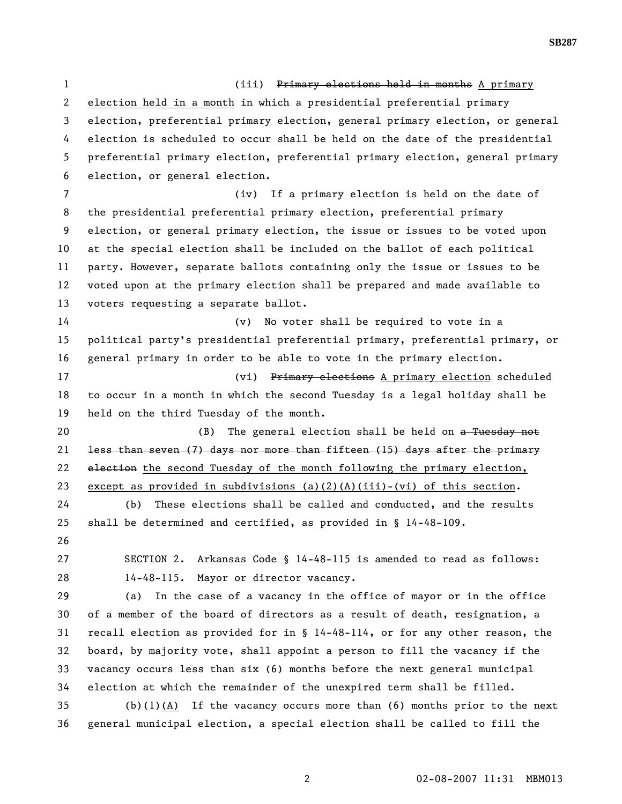1 (iii) Primary elections held in months A primary 2 election held in a month in which a presidential preferential primary 3 election, preferential primary election, general primary election, or general 4 election is scheduled to occur shall be held on the date of the presidential 5 preferential primary election, preferential primary election, general primary 6 election, or general election. 7 (iv) If a primary election is held on the date of 8 the presidential preferential primary election, preferential primary 9 election, or general primary election, the issue or issues to be voted upon 10 at the special election shall be included on the ballot of each political 11 party. However, separate ballots containing only the issue or issues to be 12 voted upon at the primary election shall be prepared and made available to 13 voters requesting a separate ballot. 14 (v) No voter shall be required to vote in a 15 political party's presidential preferential primary, preferential primary, or 16 general primary in order to be able to vote in the primary election. 17 (vi) Primary elections A primary election scheduled 18 to occur in a month in which the second Tuesday is a legal holiday shall be 19 held on the third Tuesday of the month. 20 (B) The general election shall be held on a Tuesday not 21 less than seven (7) days nor more than fifteen (15) days after the primary 22 election the second Tuesday of the month following the primary election, 23 except as provided in subdivisions (a)(2)(A)(iii)-(vi) of this section. 24 (b) These elections shall be called and conducted, and the results 25 shall be determined and certified, as provided in § 14-48-109. 26 27 SECTION 2. Arkansas Code § 14-48-115 is amended to read as follows: 28 14-48-115. Mayor or director vacancy. 29 (a) In the case of a vacancy in the office of mayor or in the office 30 of a member of the board of directors as a result of death, resignation, a 31 recall election as provided for in § 14-48-114, or for any other reason, the 32 board, by majority vote, shall appoint a person to fill the vacancy if the 33 vacancy occurs less than six (6) months before the next general municipal 34 election at which the remainder of the unexpired term shall be filled. 35 (b)(1)(A) If the vacancy occurs more than (6) months prior to the next 36 general municipal election, a special election shall be called to fill the

**SB287**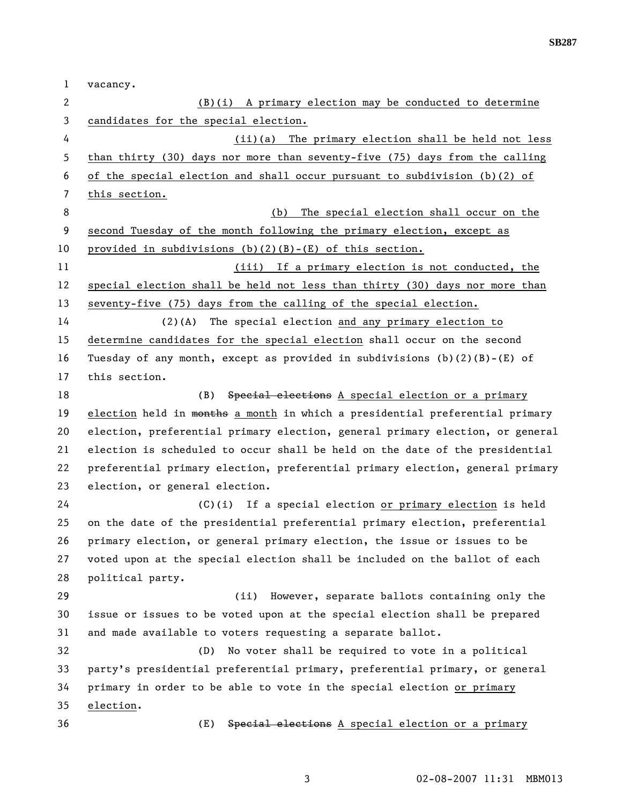**SB287** 

| 1  | vacancy.                                                                      |
|----|-------------------------------------------------------------------------------|
| 2  | $(B)(i)$ A primary election may be conducted to determine                     |
| 3  | candidates for the special election.                                          |
| 4  | (ii)(a) The primary election shall be held not less                           |
| 5  | than thirty (30) days nor more than seventy-five (75) days from the calling   |
| 6  | of the special election and shall occur pursuant to subdivision $(b)(2)$ of   |
| 7  | this section.                                                                 |
| 8  | The special election shall occur on the<br>(b)                                |
| 9  | second Tuesday of the month following the primary election, except as         |
| 10 | provided in subdivisions (b)(2)(B)-(E) of this section.                       |
| 11 | (iii) If a primary election is not conducted, the                             |
| 12 | special election shall be held not less than thirty (30) days nor more than   |
| 13 | seventy-five (75) days from the calling of the special election.              |
| 14 | $(2)$ (A)<br>The special election and any primary election to                 |
| 15 | determine candidates for the special election shall occur on the second       |
| 16 | Tuesday of any month, except as provided in subdivisions $(b)(2)(B) - (E)$ of |
| 17 | this section.                                                                 |
| 18 | Special elections A special election or a primary<br>(B)                      |
| 19 | election held in months a month in which a presidential preferential primary  |
| 20 | election, preferential primary election, general primary election, or general |
| 21 | election is scheduled to occur shall be held on the date of the presidential  |
| 22 | preferential primary election, preferential primary election, general primary |
| 23 | election, or general election.                                                |
| 24 | (C)(i) If a special election or primary election is held                      |
| 25 | on the date of the presidential preferential primary election, preferential   |
| 26 | primary election, or general primary election, the issue or issues to be      |
| 27 | voted upon at the special election shall be included on the ballot of each    |
| 28 | political party.                                                              |
| 29 | (ii)<br>However, separate ballots containing only the                         |
| 30 | issue or issues to be voted upon at the special election shall be prepared    |
| 31 | and made available to voters requesting a separate ballot.                    |
| 32 | No voter shall be required to vote in a political<br>(D)                      |
| 33 | party's presidential preferential primary, preferential primary, or general   |
| 34 | primary in order to be able to vote in the special election or primary        |
| 35 | election.                                                                     |
| 36 | Special elections A special election or a primary<br>(E)                      |